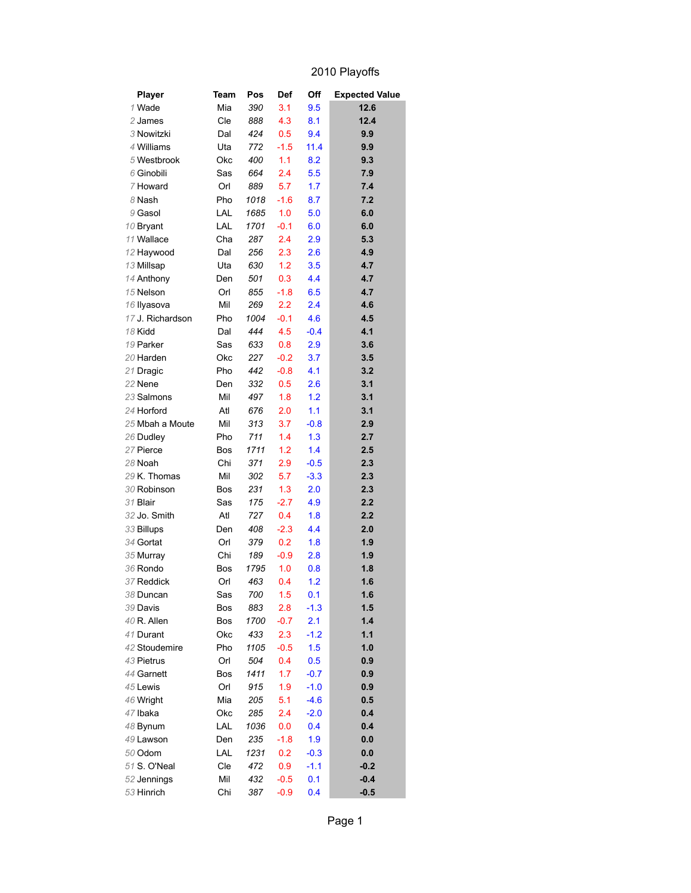## 2010 Playoffs

| <b>Player</b>         | Team       | Pos         | <b>Def</b>    | Off        | <b>Expected Value</b> |
|-----------------------|------------|-------------|---------------|------------|-----------------------|
| 1 Wade                | Mia        | 390         | 3.1           | 9.5        | 12.6                  |
| 2 James               | Cle        | 888         | 4.3           | 8.1        | 12.4                  |
| 3 Nowitzki            | Dal        | 424         | 0.5           | 9.4        | 9.9                   |
| 4 Williams            | Uta        | 772         | $-1.5$        | 11.4       | 9.9                   |
| 5 Westbrook           | Okc        | 400         | 1.1           | 8.2        | 9.3                   |
| 6 Ginobili            | Sas        | 664         | 2.4           | 5.5        | 7.9                   |
| 7 Howard              | Orl        | 889         | 5.7           | 1.7        | 7.4                   |
| 8 Nash                | Pho        | 1018        | $-1.6$        | 8.7        | 7.2                   |
| 9 Gasol               | LAL        | 1685        | 1.0           | 5.0        | 6.0                   |
| 10 Bryant             | LAL        | 1701        | $-0.1$        | 6.0        | 6.0                   |
| 11 Wallace            | Cha        | 287         | 2.4           | 2.9        | 5.3                   |
| 12 Haywood            | Dal        | 256         | 2.3           | 2.6        | 4.9                   |
| 13 Millsap            | Uta        | 630         | 1.2           | 3.5        | 4.7                   |
| 14 Anthony            | Den        | 501         | 0.3           | 4.4        | 4.7                   |
| 15 Nelson             | Orl        | 855         | $-1.8$        | 6.5        | 4.7                   |
| 16 Ilyasova           | Mil        | 269         | 2.2           | 2.4        | 4.6                   |
| 17 J. Richardson      | Pho        | 1004        | $-0.1$        | 4.6        | 4.5                   |
| 18 Kidd               | Dal        | 444         | 4.5           | $-0.4$     | 4.1                   |
| 19 Parker             | Sas        | 633         | 0.8           | 2.9        | 3.6                   |
| 20 Harden             | Okc        | 227         | $-0.2$        | 3.7        | 3.5                   |
| 21 Dragic             | Pho        | 442         | $-0.8$        | 4.1        | 3.2                   |
| 22 Nene               | Den        | 332         | 0.5           | 2.6        | 3.1                   |
| 23 Salmons            | Mil        | 497         | 1.8           | 1.2        | 3.1                   |
| 24 Horford            | Atl        | 676         | 2.0           | 1.1        | 3.1                   |
| 25 Mbah a Moute       | Mil        | 313         | 3.7           | $-0.8$     | 2.9                   |
| 26 Dudley             | Pho        | 711         | 1.4           | 1.3        | 2.7                   |
| 27 Pierce             | Bos        | 1711        | 1.2           | 1.4        | 2.5                   |
| 28 Noah               | Chi        | 371         | 2.9           | $-0.5$     | 2.3                   |
| 29 K. Thomas          | Mil        | 302         | 5.7           | $-3.3$     | 2.3                   |
| 30 Robinson           | Bos        | 231         | 1.3           | 2.0        | 2.3                   |
| 31 Blair              | Sas        | 175         | $-2.7$        | 4.9        | 2.2                   |
| 32 Jo. Smith          | Atl        | 727         | 0.4           | 1.8        | 2.2                   |
| 33 Billups            | Den        | 408         | $-2.3$        | 4.4        | 2.0                   |
| 34 Gortat             | Orl        | 379         | 0.2           | 1.8        | 1.9                   |
| 35 Murray             | Chi        | 189         | $-0.9$        | 2.8        | 1.9                   |
| 36 Rondo              | Bos        | 1795        | 1.0           | 0.8        | 1.8                   |
| 37 Reddick            | Orl        | 463         | 0.4           | 1.2        | 1.6                   |
| 38 Duncan             | Sas        | 700         | 1.5           | 0.1        | 1.6                   |
| 39 Davis              | Bos        | 883         | 2.8           | $-1.3$     | 1.5                   |
| 40 R. Allen           | Bos        | 1700        | $-0.7$        | 2.1        | 1.4                   |
| 41 Durant             | Okc        | 433         | 2.3           | $-1.2$     | 1.1                   |
| 42 Stoudemire         | Pho        | 1105        | $-0.5$        | 1.5        | 1.0                   |
| 43 Pietrus            | Orl        | 504         | 0.4           | 0.5        | 0.9                   |
| 44 Garnett            | Bos        | 1411        | 1.7           | $-0.7$     | 0.9                   |
| 45 Lewis              | Orl        | 915         | 1.9           | $-1.0$     | 0.9                   |
| 46 Wright             | Mia        | 205         | 5.1           | $-4.6$     | 0.5                   |
| 47 Ibaka              | Okc        | 285         | 2.4           | $-2.0$     | 0.4                   |
| 48 Bynum<br>49 Lawson | LAL<br>Den | 1036        | 0.0<br>$-1.8$ | 0.4<br>1.9 | 0.4<br>0.0            |
| 50 Odom               | LAL        | 235<br>1231 | 0.2           | $-0.3$     | 0.0                   |
| 51 S. O'Neal          | Cle        | 472         | 0.9           | $-1.1$     | $-0.2$                |
| 52 Jennings           | Mil        | 432         | $-0.5$        | 0.1        | $-0.4$                |
| 53 Hinrich            | Chi        | 387         | $-0.9$        | 0.4        | $-0.5$                |
|                       |            |             |               |            |                       |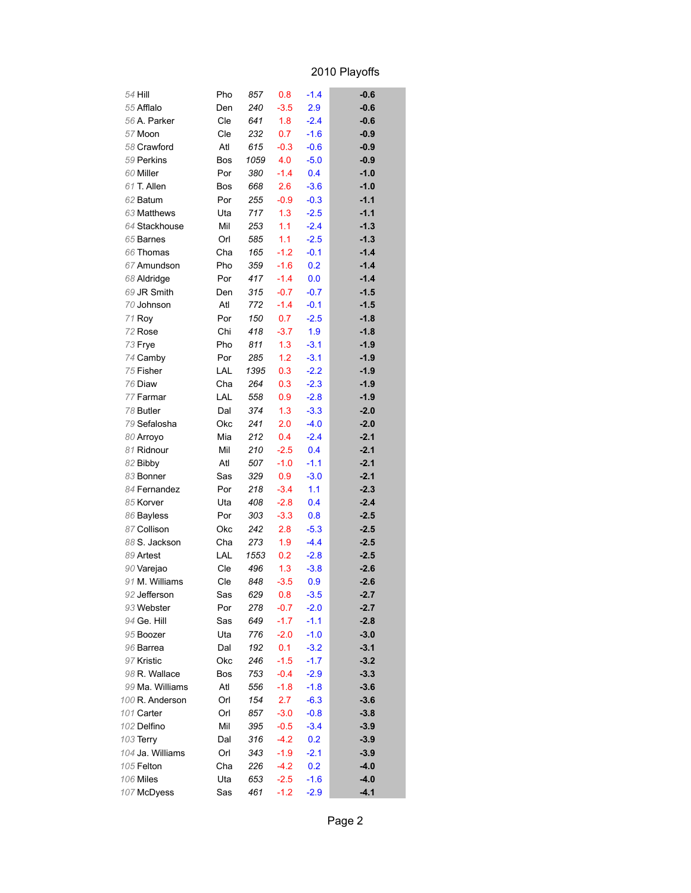## 2010 Playoffs

| 54 Hill          | Pho |      |        | $-1.4$ | $-0.6$ |
|------------------|-----|------|--------|--------|--------|
| 55 Afflalo       |     | 857  | 0.8    | 2.9    |        |
|                  | Den | 240  | $-3.5$ |        | $-0.6$ |
| 56 A. Parker     | Cle | 641  | 1.8    | $-2.4$ | $-0.6$ |
| 57 Moon          | Cle | 232  | 0.7    | $-1.6$ | $-0.9$ |
| 58 Crawford      | Atl | 615  | $-0.3$ | $-0.6$ | $-0.9$ |
| 59 Perkins       | Bos | 1059 | 4.0    | $-5.0$ | $-0.9$ |
| 60 Miller        | Por | 380  | $-1.4$ | 0.4    | $-1.0$ |
| 61 T. Allen      | Bos | 668  | 2.6    | $-3.6$ | $-1.0$ |
| 62 Batum         | Por | 255  | $-0.9$ | $-0.3$ | $-1.1$ |
| 63 Matthews      | Uta | 717  | 1.3    | $-2.5$ | $-1.1$ |
| 64 Stackhouse    | Mil | 253  | 1.1    | $-2.4$ | $-1.3$ |
| 65 Barnes        | Orl | 585  | 1.1    | $-2.5$ | $-1.3$ |
| 66 Thomas        | Cha | 165  | $-1.2$ | $-0.1$ | $-1.4$ |
| 67 Amundson      | Pho | 359  | $-1.6$ | 0.2    | $-1.4$ |
| 68 Aldridge      | Por | 417  | $-1.4$ | 0.0    | $-1.4$ |
| 69 JR Smith      | Den | 315  | $-0.7$ | $-0.7$ | $-1.5$ |
| 70 Johnson       | Atl | 772  | $-1.4$ | $-0.1$ | $-1.5$ |
| 71 Roy           | Por | 150  | 0.7    | $-2.5$ | $-1.8$ |
| 72 Rose          | Chi | 418  | $-3.7$ | 1.9    | $-1.8$ |
| 73 Frye          | Pho | 811  | 1.3    | $-3.1$ | $-1.9$ |
| 74 Camby         | Por | 285  | 1.2    | $-3.1$ | $-1.9$ |
| 75 Fisher        | LAL | 1395 | 0.3    | $-2.2$ | $-1.9$ |
| 76 Diaw          | Cha | 264  | 0.3    | $-2.3$ | $-1.9$ |
| 77 Farmar        | LAL | 558  | 0.9    | $-2.8$ | $-1.9$ |
| 78 Butler        | Dal | 374  | 1.3    | $-3.3$ | $-2.0$ |
| 79 Sefalosha     | Okc | 241  | 2.0    | $-4.0$ | $-2.0$ |
| 80 Arroyo        | Mia | 212  | 0.4    | $-2.4$ | $-2.1$ |
| 81 Ridnour       | Mil | 210  | $-2.5$ | 0.4    | $-2.1$ |
| 82 Bibby         | Atl | 507  | $-1.0$ | $-1.1$ | $-2.1$ |
| 83 Bonner        | Sas | 329  | 0.9    | $-3.0$ | $-2.1$ |
| 84 Fernandez     | Por | 218  | $-3.4$ | 1.1    | $-2.3$ |
| 85 Korver        | Uta | 408  | $-2.8$ | 0.4    | $-2.4$ |
| 86 Bayless       | Por | 303  | $-3.3$ | 0.8    | $-2.5$ |
| 87 Collison      | Okc | 242  | 2.8    | $-5.3$ | $-2.5$ |
| 88 S. Jackson    | Cha | 273  | 1.9    | $-4.4$ | $-2.5$ |
| 89 Artest        | LAL | 1553 | 0.2    | $-2.8$ | $-2.5$ |
| 90 Varejao       | Cle | 496  | 1.3    | $-3.8$ | $-2.6$ |
| 91 M. Williams   | Cle | 848  | $-3.5$ | 0.9    | $-2.6$ |
| 92 Jefferson     | Sas | 629  | 0.8    | $-3.5$ | $-2.7$ |
| 93 Webster       | Por | 278  | $-0.7$ | $-2.0$ | $-2.7$ |
| 94 Ge. Hill      | Sas | 649  | $-1.7$ | $-1.1$ | $-2.8$ |
| 95 Boozer        | Uta | 776  | $-2.0$ | $-1.0$ | $-3.0$ |
| 96 Barrea        | Dal | 192  | 0.1    | $-3.2$ | $-3.1$ |
| 97 Kristic       | Okc | 246  | $-1.5$ | $-1.7$ | $-3.2$ |
| 98 R. Wallace    | Bos | 753  | $-0.4$ | $-2.9$ | $-3.3$ |
| 99 Ma. Williams  | Atl | 556  | $-1.8$ | $-1.8$ | $-3.6$ |
| 100 R. Anderson  | Orl | 154  | 2.7    | $-6.3$ | $-3.6$ |
| 101 Carter       | Orl | 857  | $-3.0$ | $-0.8$ | $-3.8$ |
| 102 Delfino      | Mil | 395  | $-0.5$ | $-3.4$ | $-3.9$ |
| 103 Terry        | Dal | 316  | $-4.2$ | 0.2    | $-3.9$ |
| 104 Ja. Williams | Orl | 343  | $-1.9$ | $-2.1$ | $-3.9$ |
| 105 Felton       | Cha | 226  | $-4.2$ | 0.2    | $-4.0$ |
| 106 Miles        | Uta | 653  | $-2.5$ | $-1.6$ | $-4.0$ |
| 107 McDyess      | Sas | 461  | $-1.2$ | $-2.9$ | $-4.1$ |
|                  |     |      |        |        |        |